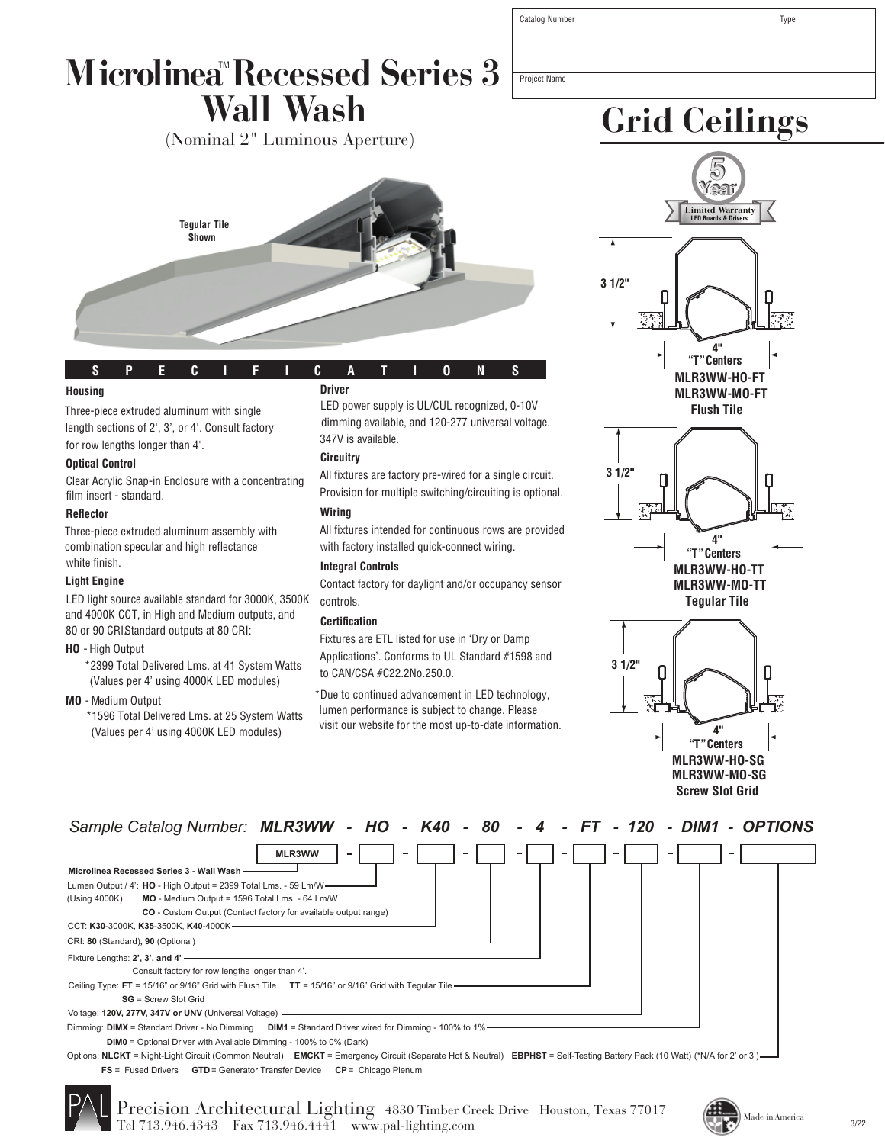| Microlinea™Recessed Series 3 |           |  |
|------------------------------|-----------|--|
|                              | Wall Wash |  |

(Nominal 2" Luminous Aperture)



| s        |  |  |  | SPECIFICA |        | $\blacksquare$ to the $\blacksquare$ |  | N | S |  |
|----------|--|--|--|-----------|--------|--------------------------------------|--|---|---|--|
| Innieinn |  |  |  |           | Driver |                                      |  |   |   |  |

### **Housing**

Three-piece extruded aluminum with single length sections of 2', 3', or 4'. Consult factory for row lengths longer than 4'.

### **Optical Control**

Clear Acrylic Snap-in Enclosure with a concentrating film insert - standard.

## **Reflector**

Three-piece extruded aluminum assembly with combination specular and high reflectance white finish.

### **Light Engine**

LED light source available standard for 3000K, 3500K and 4000K CCT, in High and Medium outputs, and 80 or 90 CRIStandard outputs at 80 CRI:

### **HO** - High Output

\*2399 Total Delivered Lms. at 41 System Watts (Values per 4' using 4000K LED modules)

### **MO** - Medium Output

\*1596 Total Delivered Lms. at 25 System Watts (Values per 4' using 4000K LED modules)

# **Driver**

LED power supply is UL/CUL recognized, 0-10V dimming available, and 120-277 universal voltage. 347V is available.

### **Circuitry**

All fixtures are factory pre-wired for a single circuit. Provision for multiple switching/circuiting is optional.

## **Wiring**

All fixtures intended for continuous rows are provided with factory installed quick-connect wiring.

# **Integral Controls**

Contact factory for daylight and/or occupancy sensor controls.

## **Certification**

Fixtures are ETL listed for use in 'Dry or Damp Applications'. Conforms to UL Standard #1598 and to CAN/CSA #C22.2No.250.0.

\*Due to continued advancement in LED technology, lumen performance is subject to change. Please visit our website for the most up-to-date information.



**Grid Ceilings**

**Flush Tile**



**Tegular Tile**



**Screw Slot Grid**



Options: **NLCKT** = Night-Light Circuit (Common Neutral) **EMCKT** = Emergency Circuit (Separate Hot & Neutral) **EBPHST** = Self-Testing Battery Pack (10 Watt) (\*N/A for 2' or 3') **FS** = Fused Drivers **GTD** = Generator Transfer Device **CP** = Chicago Plenum



Precision Architectural Lighting 4830 Timber Creek Drive Houston, Texas 77017 Tel 713.946.4343 Fax 713.946.4441 www.pal-lighting.com



Project Name